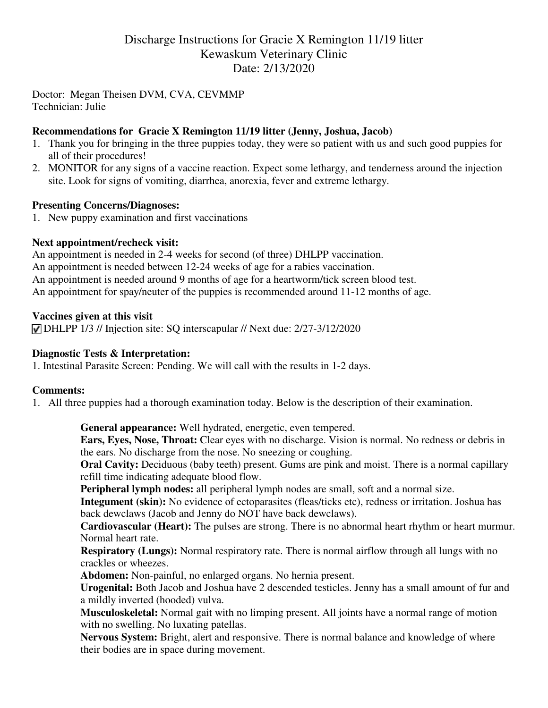# Discharge Instructions for Gracie X Remington 11/19 litter Kewaskum Veterinary Clinic Date: 2/13/2020

Doctor: Megan Theisen DVM, CVA, CEVMMP Technician: Julie

## **Recommendations for Gracie X Remington 11/19 litter (Jenny, Joshua, Jacob)**

- 1. Thank you for bringing in the three puppies today, they were so patient with us and such good puppies for all of their procedures!
- 2. MONITOR for any signs of a vaccine reaction. Expect some lethargy, and tenderness around the injection site. Look for signs of vomiting, diarrhea, anorexia, fever and extreme lethargy.

## **Presenting Concerns/Diagnoses:**

1. New puppy examination and first vaccinations

## **Next appointment/recheck visit:**

An appointment is needed in 2-4 weeks for second (of three) DHLPP vaccination. An appointment is needed between 12-24 weeks of age for a rabies vaccination. An appointment is needed around 9 months of age for a heartworm/tick screen blood test. An appointment for spay/neuter of the puppies is recommended around 11-12 months of age.

## **Vaccines given at this visit**

DHLPP 1/3 // Injection site: SQ interscapular // Next due: 2/27-3/12/2020

### **Diagnostic Tests & Interpretation:**

1. Intestinal Parasite Screen: Pending. We will call with the results in 1-2 days.

## **Comments:**

1. All three puppies had a thorough examination today. Below is the description of their examination.

**General appearance:** Well hydrated, energetic, even tempered.

**Ears, Eyes, Nose, Throat:** Clear eyes with no discharge. Vision is normal. No redness or debris in the ears. No discharge from the nose. No sneezing or coughing.

**Oral Cavity:** Deciduous (baby teeth) present. Gums are pink and moist. There is a normal capillary refill time indicating adequate blood flow.

**Peripheral lymph nodes:** all peripheral lymph nodes are small, soft and a normal size.

**Integument (skin):** No evidence of ectoparasites (fleas/ticks etc), redness or irritation. Joshua has back dewclaws (Jacob and Jenny do NOT have back dewclaws).

**Cardiovascular (Heart):** The pulses are strong. There is no abnormal heart rhythm or heart murmur. Normal heart rate.

**Respiratory (Lungs):** Normal respiratory rate. There is normal airflow through all lungs with no crackles or wheezes.

**Abdomen:** Non-painful, no enlarged organs. No hernia present.

**Urogenital:** Both Jacob and Joshua have 2 descended testicles. Jenny has a small amount of fur and a mildly inverted (hooded) vulva.

**Musculoskeletal:** Normal gait with no limping present. All joints have a normal range of motion with no swelling. No luxating patellas.

**Nervous System:** Bright, alert and responsive. There is normal balance and knowledge of where their bodies are in space during movement.